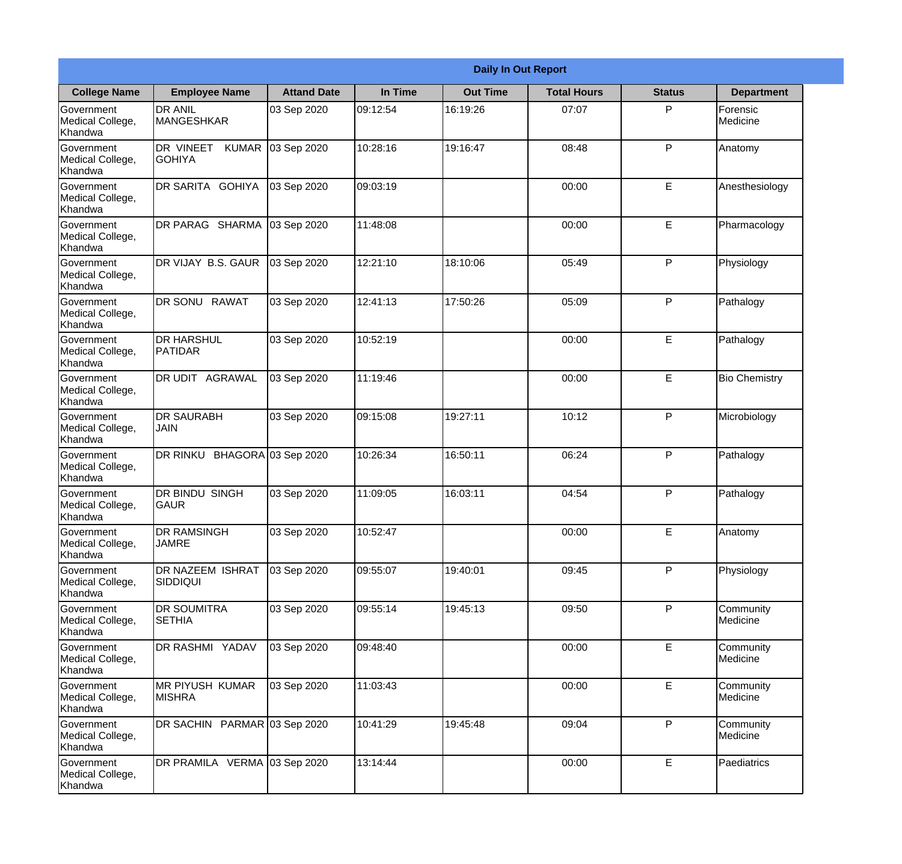|                                           |                                            |                     |          | <b>Daily In Out Report</b> |                    |               |                       |
|-------------------------------------------|--------------------------------------------|---------------------|----------|----------------------------|--------------------|---------------|-----------------------|
| <b>College Name</b>                       | <b>Employee Name</b>                       | <b>Attand Date</b>  | In Time  | <b>Out Time</b>            | <b>Total Hours</b> | <b>Status</b> | <b>Department</b>     |
| Government<br>Medical College,<br>Khandwa | <b>DR ANIL</b><br><b>MANGESHKAR</b>        | 03 Sep 2020         | 09:12:54 | 16:19:26                   | 07:07              | P             | Forensic<br>Medicine  |
| Government<br>Medical College,<br>Khandwa | DR VINEET<br><b>KUMAR</b><br><b>GOHIYA</b> | 03 Sep 2020         | 10:28:16 | 19:16:47                   | 08:48              | P             | Anatomy               |
| Government<br>Medical College,<br>Khandwa | DR SARITA GOHIYA                           | 03 Sep 2020         | 09:03:19 |                            | 00:00              | E             | Anesthesiology        |
| Government<br>Medical College,<br>Khandwa | DR PARAG SHARMA                            | 03 Sep 2020         | 11:48:08 |                            | 00:00              | E             | Pharmacology          |
| Government<br>Medical College,<br>Khandwa | DR VIJAY B.S. GAUR                         | 03 Sep 2020         | 12:21:10 | 18:10:06                   | 05:49              | P             | Physiology            |
| Government<br>Medical College,<br>Khandwa | DR SONU RAWAT                              | 03 Sep 2020         | 12:41:13 | 17:50:26                   | 05:09              | P             | Pathalogy             |
| Government<br>Medical College,<br>Khandwa | <b>DR HARSHUL</b><br>PATIDAR               | 03 Sep 2020         | 10:52:19 |                            | 00:00              | E             | Pathalogy             |
| Government<br>Medical College,<br>Khandwa | DR UDIT AGRAWAL                            | 03 Sep 2020         | 11:19:46 |                            | 00:00              | E             | <b>Bio Chemistry</b>  |
| Government<br>Medical College,<br>Khandwa | <b>DR SAURABH</b><br>JAIN                  | 03 Sep 2020         | 09:15:08 | 19:27:11                   | 10:12              | P             | Microbiology          |
| Government<br>Medical College,<br>Khandwa | DR RINKU                                   | BHAGORA 03 Sep 2020 | 10:26:34 | 16:50:11                   | 06:24              | P             | Pathalogy             |
| Government<br>Medical College,<br>Khandwa | DR BINDU SINGH<br><b>GAUR</b>              | 03 Sep 2020         | 11:09:05 | 16:03:11                   | 04:54              | P             | Pathalogy             |
| Government<br>Medical College,<br>Khandwa | <b>DR RAMSINGH</b><br><b>JAMRE</b>         | 03 Sep 2020         | 10:52:47 |                            | 00:00              | E             | Anatomy               |
| Government<br>Medical College,<br>Khandwa | <b>DR NAZEEM ISHRAT</b><br><b>SIDDIQUI</b> | 03 Sep 2020         | 09:55:07 | 19:40:01                   | 09:45              | P             | Physiology            |
| Government<br>Medical College,<br>Khandwa | DR SOUMITRA<br><b>SETHIA</b>               | 03 Sep 2020         | 09:55:14 | 19:45:13                   | 09:50              | P             | Community<br>Medicine |
| Government<br>Medical College,<br>Khandwa | DR RASHMI YADAV                            | 03 Sep 2020         | 09:48:40 |                            | 00:00              | E             | Community<br>Medicine |
| Government<br>Medical College,<br>Khandwa | <b>MR PIYUSH KUMAR</b><br><b>MISHRA</b>    | 03 Sep 2020         | 11:03:43 |                            | 00:00              | E             | Community<br>Medicine |
| Government<br>Medical College,<br>Khandwa | DR SACHIN PARMAR 03 Sep 2020               |                     | 10:41:29 | 19:45:48                   | 09:04              | P             | Community<br>Medicine |
| Government<br>Medical College,<br>Khandwa | DR PRAMILA VERMA 03 Sep 2020               |                     | 13:14:44 |                            | 00:00              | E             | Paediatrics           |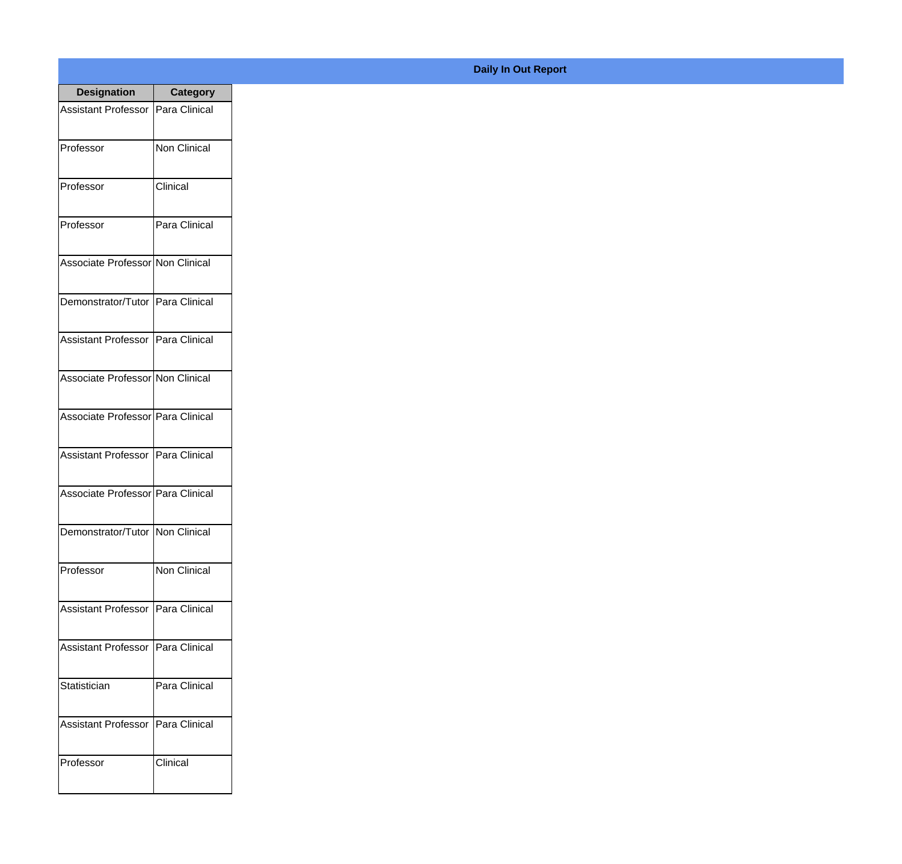| <b>Designation</b>                  | <b>Category</b>     |
|-------------------------------------|---------------------|
| Assistant Professor                 | Para Clinical       |
| Professor                           | Non Clinical        |
| Professor                           | Clinical            |
| Professor                           | Para Clinical       |
| Associate Professor Non Clinical    |                     |
| Demonstrator/Tutor   Para Clinical  |                     |
| Assistant Professor   Para Clinical |                     |
| Associate Professor Non Clinical    |                     |
| Associate Professor Para Clinical   |                     |
| <b>Assistant Professor</b>          | Para Clinical       |
| Associate Professor   Para Clinical |                     |
| Demonstrator/Tutor   Non Clinical   |                     |
| Professor                           | <b>Non Clinical</b> |
| <b>Assistant Professor</b>          | Para Clinical       |
| <b>Assistant Professor</b>          | Para Clinical       |
| Statistician                        | Para Clinical       |
| <b>Assistant Professor</b>          | Para Clinical       |
| Professor                           | Clinical            |

## **Daily In Out Report**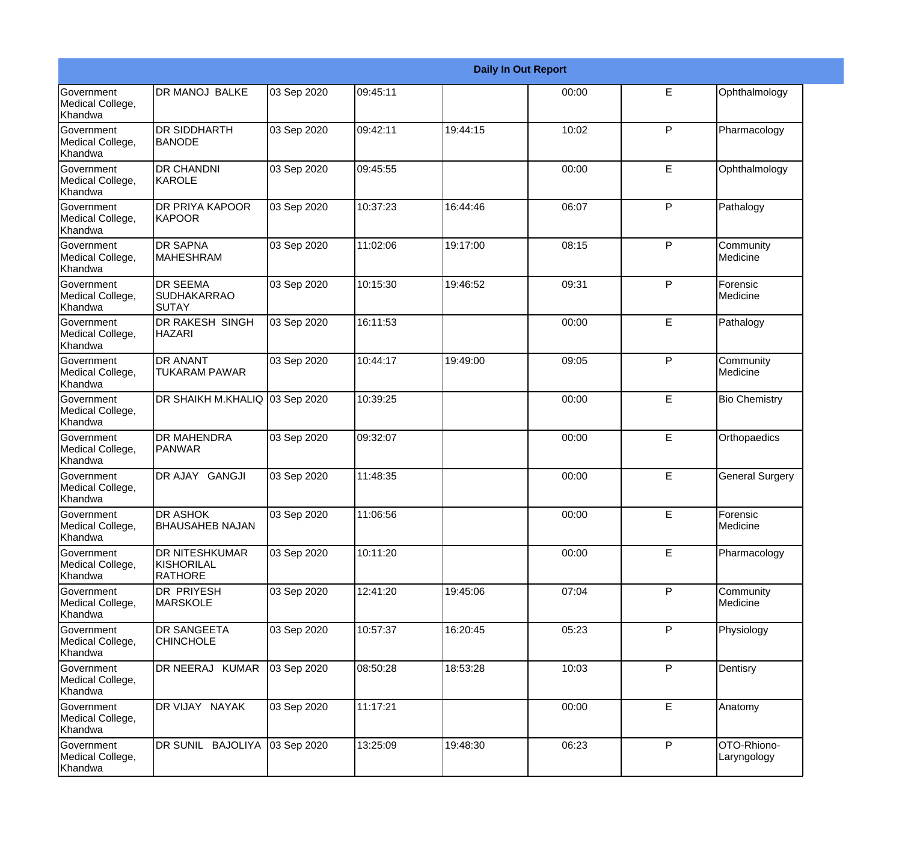|                                                  |                                                       |             |          |          | <b>Daily In Out Report</b> |   |                             |
|--------------------------------------------------|-------------------------------------------------------|-------------|----------|----------|----------------------------|---|-----------------------------|
| <b>Government</b><br>Medical College,<br>Khandwa | <b>DR MANOJ BALKE</b>                                 | 03 Sep 2020 | 09:45:11 |          | 00:00                      | E | Ophthalmology               |
| Government<br>Medical College,<br>Khandwa        | <b>DR SIDDHARTH</b><br><b>BANODE</b>                  | 03 Sep 2020 | 09:42:11 | 19:44:15 | 10:02                      | P | Pharmacology                |
| <b>Government</b><br>Medical College,<br>Khandwa | <b>DR CHANDNI</b><br>KAROLE                           | 03 Sep 2020 | 09:45:55 |          | 00:00                      | E | Ophthalmology               |
| <b>Government</b><br>Medical College,<br>Khandwa | <b>DR PRIYA KAPOOR</b><br>KAPOOR                      | 03 Sep 2020 | 10:37:23 | 16:44:46 | 06:07                      | P | Pathalogy                   |
| Government<br>Medical College,<br>Khandwa        | <b>DR SAPNA</b><br>MAHESHRAM                          | 03 Sep 2020 | 11:02:06 | 19:17:00 | 08:15                      | P | Community<br>Medicine       |
| Government<br>Medical College,<br>Khandwa        | <b>DR SEEMA</b><br><b>SUDHAKARRAO</b><br>ISUTAY       | 03 Sep 2020 | 10:15:30 | 19:46:52 | 09:31                      | P | Forensic<br><b>Medicine</b> |
| Government<br>Medical College,<br>Khandwa        | <b>DR RAKESH SINGH</b><br><b>HAZARI</b>               | 03 Sep 2020 | 16:11:53 |          | 00:00                      | E | Pathalogy                   |
| Government<br>Medical College,<br>Khandwa        | <b>DR ANANT</b><br><b>TUKARAM PAWAR</b>               | 03 Sep 2020 | 10:44:17 | 19:49:00 | 09:05                      | P | Community<br>Medicine       |
| Government<br>Medical College,<br>Khandwa        | DR SHAIKH M.KHALIQ 03 Sep 2020                        |             | 10:39:25 |          | 00:00                      | E | <b>Bio Chemistry</b>        |
| Government<br>Medical College,<br>Khandwa        | <b>DR MAHENDRA</b><br><b>PANWAR</b>                   | 03 Sep 2020 | 09:32:07 |          | 00:00                      | E | Orthopaedics                |
| <b>Government</b><br>Medical College,<br>Khandwa | DR AJAY GANGJI                                        | 03 Sep 2020 | 11:48:35 |          | 00:00                      | E | <b>General Surgery</b>      |
| Government<br>Medical College,<br>Khandwa        | <b>DR ASHOK</b><br><b>BHAUSAHEB NAJAN</b>             | 03 Sep 2020 | 11:06:56 |          | 00:00                      | E | <b>Forensic</b><br>Medicine |
| Government<br>Medical College,<br>Khandwa        | <b>DR NITESHKUMAR</b><br>KISHORILAL<br><b>RATHORE</b> | 03 Sep 2020 | 10:11:20 |          | 00:00                      | E | Pharmacology                |
| Government<br>Medical College,<br>Khandwa        | <b>DR PRIYESH</b><br><b>MARSKOLE</b>                  | 03 Sep 2020 | 12:41:20 | 19:45:06 | 07:04                      | P | Community<br>Medicine       |
| Government<br>Medical College,<br>Khandwa        | <b>DR SANGEETA</b><br><b>CHINCHOLE</b>                | 03 Sep 2020 | 10:57:37 | 16:20:45 | 05:23                      | P | Physiology                  |
| Government<br>Medical College,<br>Khandwa        | DR NEERAJ KUMAR                                       | 03 Sep 2020 | 08:50:28 | 18:53:28 | 10:03                      | P | Dentisry                    |
| Government<br>Medical College,<br>Khandwa        | DR VIJAY NAYAK                                        | 03 Sep 2020 | 11:17:21 |          | 00:00                      | E | Anatomy                     |
| Government<br>Medical College,<br>Khandwa        | DR SUNIL BAJOLIYA                                     | 03 Sep 2020 | 13:25:09 | 19:48:30 | 06:23                      | P | OTO-Rhiono-<br>Laryngology  |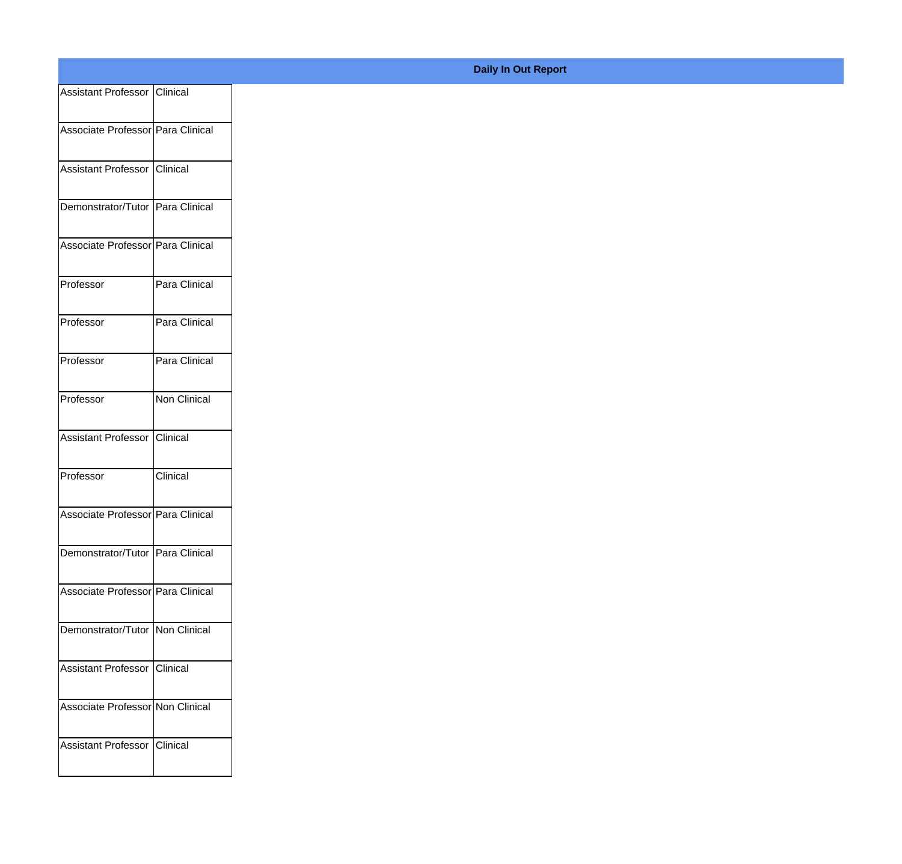| <b>Assistant Professor   Clinical</b> |                     |  |
|---------------------------------------|---------------------|--|
| Associate Professor   Para Clinical   |                     |  |
| Assistant Professor   Clinical        |                     |  |
| Demonstrator/Tutor Para Clinical      |                     |  |
| Associate Professor   Para Clinical   |                     |  |
| Professor                             | Para Clinical       |  |
| Professor                             | Para Clinical       |  |
| Professor                             | Para Clinical       |  |
| Professor                             | <b>Non Clinical</b> |  |
| <b>Assistant Professor</b>            | Clinical            |  |
| Professor                             | Clinical            |  |
| Associate Professor   Para Clinical   |                     |  |
| Demonstrator/Tutor   Para Clinical    |                     |  |
| Associate Professor   Para Clinical   |                     |  |
| Demonstrator/Tutor   Non Clinical     |                     |  |
| <b>Assistant Professor   Clinical</b> |                     |  |
| Associate Professor Non Clinical      |                     |  |
| <b>Assistant Professor</b>            | Clinical            |  |

## **Daily In Out Report**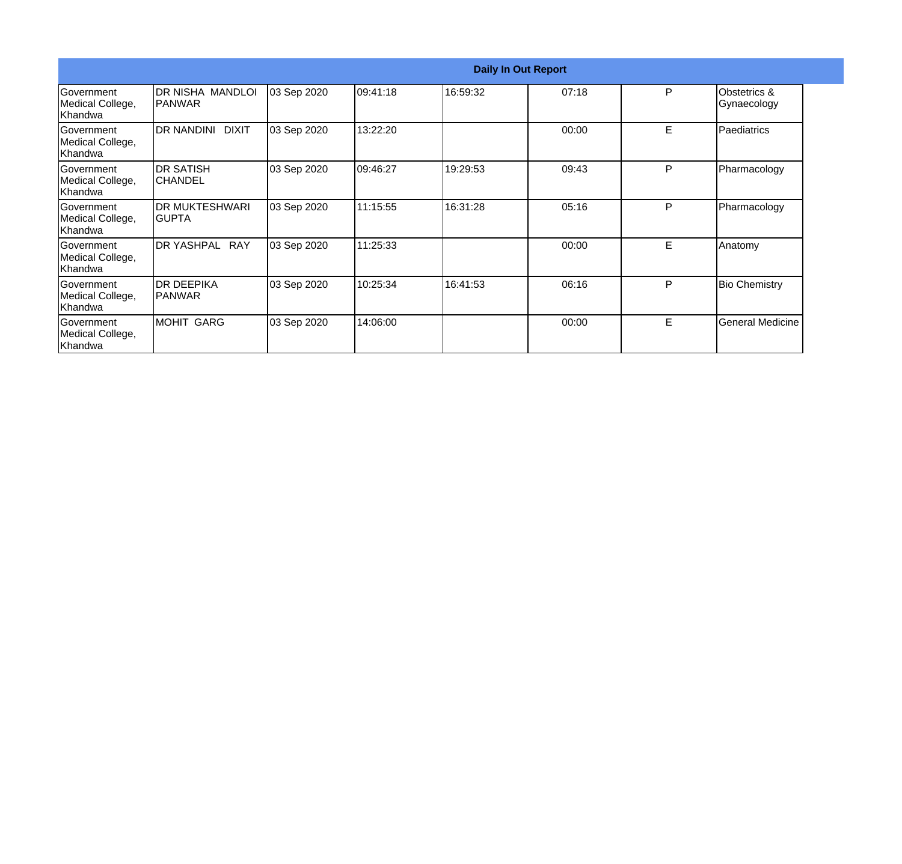|                                                   |                                 |             |           |          | <b>Daily In Out Report</b> |    |                             |
|---------------------------------------------------|---------------------------------|-------------|-----------|----------|----------------------------|----|-----------------------------|
| Government<br>Medical College,<br>lKhandwa        | DR NISHA MANDLOI<br>IPANWAR     | 03 Sep 2020 | 109:41:18 | 16:59:32 | 07:18                      | P  | Obstetrics &<br>Gynaecology |
| Government<br>Medical College,<br>Khandwa         | DR NANDINI DIXIT                | 03 Sep 2020 | 13:22:20  |          | 00:00                      | E. | Paediatrics                 |
| Government<br>Medical College,<br>Khandwa         | <b>DR SATISH</b><br>ICHANDEL    | 03 Sep 2020 | 09:46:27  | 19:29:53 | 09:43                      | P  | Pharmacology                |
| <b>Government</b><br>Medical College,<br>Khandwa  | <b>DR MUKTESHWARI</b><br>IGUPTA | 03 Sep 2020 | 11:15:55  | 16:31:28 | 05:16                      | P  | Pharmacology                |
| Government<br>Medical College,<br>Khandwa         | DR YASHPAL RAY                  | 03 Sep 2020 | 11:25:33  |          | 00:00                      | E  | Anatomy                     |
| <b>IGovernment</b><br>Medical College,<br>Khandwa | IDR DEEPIKA<br> PANWAR          | 03 Sep 2020 | 10:25:34  | 16:41:53 | 06:16                      | P  | <b>Bio Chemistry</b>        |
| Government<br>Medical College,<br>Khandwa         | MOHIT GARG                      | 03 Sep 2020 | 14:06:00  |          | 00:00                      | E. | <b>General Medicine</b>     |